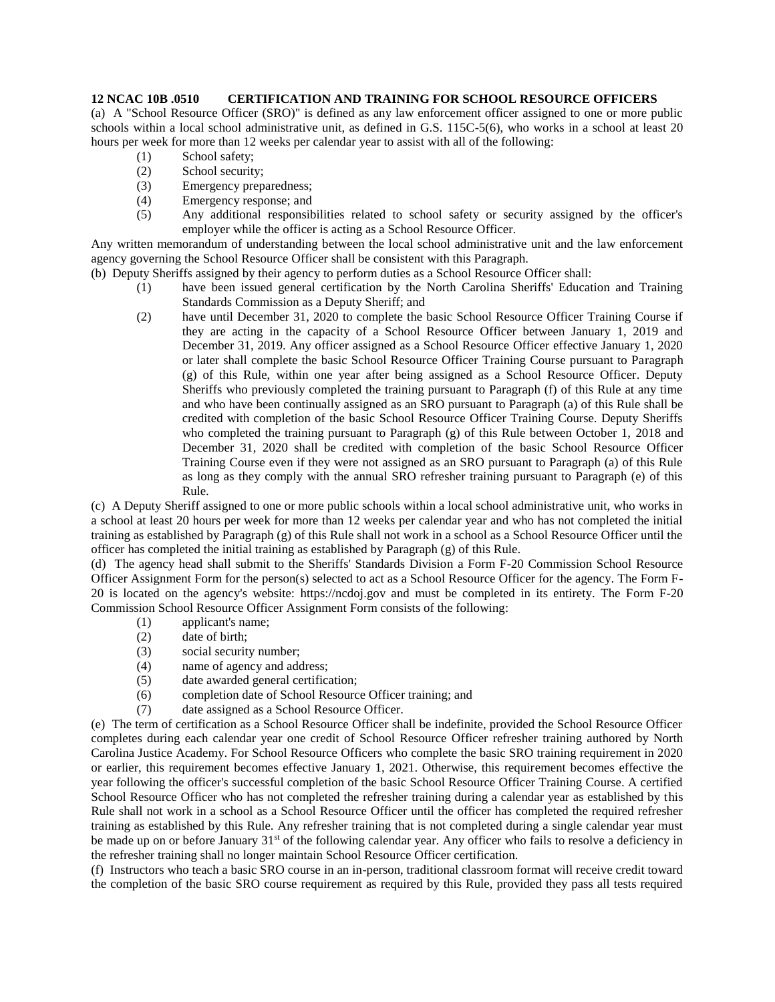## **12 NCAC 10B .0510 CERTIFICATION AND TRAINING FOR SCHOOL RESOURCE OFFICERS**

(a) A "School Resource Officer (SRO)" is defined as any law enforcement officer assigned to one or more public schools within a local school administrative unit, as defined in G.S. 115C-5(6), who works in a school at least 20 hours per week for more than 12 weeks per calendar year to assist with all of the following:

- (1) School safety;
- (2) School security;
- (3) Emergency preparedness;
- (4) Emergency response; and
- (5) Any additional responsibilities related to school safety or security assigned by the officer's employer while the officer is acting as a School Resource Officer.

Any written memorandum of understanding between the local school administrative unit and the law enforcement agency governing the School Resource Officer shall be consistent with this Paragraph.

(b) Deputy Sheriffs assigned by their agency to perform duties as a School Resource Officer shall:

- (1) have been issued general certification by the North Carolina Sheriffs' Education and Training Standards Commission as a Deputy Sheriff; and
- (2) have until December 31, 2020 to complete the basic School Resource Officer Training Course if they are acting in the capacity of a School Resource Officer between January 1, 2019 and December 31, 2019. Any officer assigned as a School Resource Officer effective January 1, 2020 or later shall complete the basic School Resource Officer Training Course pursuant to Paragraph (g) of this Rule, within one year after being assigned as a School Resource Officer. Deputy Sheriffs who previously completed the training pursuant to Paragraph (f) of this Rule at any time and who have been continually assigned as an SRO pursuant to Paragraph (a) of this Rule shall be credited with completion of the basic School Resource Officer Training Course. Deputy Sheriffs who completed the training pursuant to Paragraph (g) of this Rule between October 1, 2018 and December 31, 2020 shall be credited with completion of the basic School Resource Officer Training Course even if they were not assigned as an SRO pursuant to Paragraph (a) of this Rule as long as they comply with the annual SRO refresher training pursuant to Paragraph (e) of this Rule.

(c) A Deputy Sheriff assigned to one or more public schools within a local school administrative unit, who works in a school at least 20 hours per week for more than 12 weeks per calendar year and who has not completed the initial training as established by Paragraph (g) of this Rule shall not work in a school as a School Resource Officer until the officer has completed the initial training as established by Paragraph (g) of this Rule.

(d) The agency head shall submit to the Sheriffs' Standards Division a Form F-20 Commission School Resource Officer Assignment Form for the person(s) selected to act as a School Resource Officer for the agency. The Form F-20 is located on the agency's website: https://ncdoj.gov and must be completed in its entirety. The Form F-20 Commission School Resource Officer Assignment Form consists of the following:

- (1) applicant's name;
- (2) date of birth;
- (3) social security number;
- (4) name of agency and address;
- (5) date awarded general certification;
- (6) completion date of School Resource Officer training; and
- (7) date assigned as a School Resource Officer.

(e) The term of certification as a School Resource Officer shall be indefinite, provided the School Resource Officer completes during each calendar year one credit of School Resource Officer refresher training authored by North Carolina Justice Academy. For School Resource Officers who complete the basic SRO training requirement in 2020 or earlier, this requirement becomes effective January 1, 2021. Otherwise, this requirement becomes effective the year following the officer's successful completion of the basic School Resource Officer Training Course. A certified School Resource Officer who has not completed the refresher training during a calendar year as established by this Rule shall not work in a school as a School Resource Officer until the officer has completed the required refresher training as established by this Rule. Any refresher training that is not completed during a single calendar year must be made up on or before January 31<sup>st</sup> of the following calendar year. Any officer who fails to resolve a deficiency in the refresher training shall no longer maintain School Resource Officer certification.

(f) Instructors who teach a basic SRO course in an in-person, traditional classroom format will receive credit toward the completion of the basic SRO course requirement as required by this Rule, provided they pass all tests required